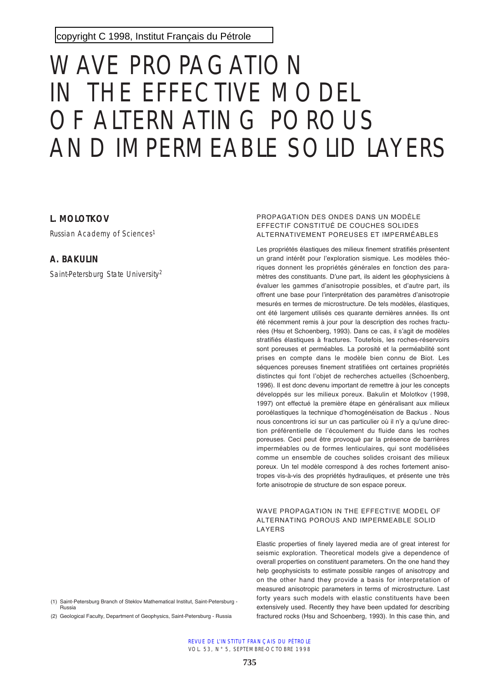copyright C 1998, [Institut Français du Pétrole](http://www.ifp.fr/)

# WAVE PROPAGATION IN THE EFFECTIVE MODEL OF ALTERNATING POROUS AND IMPERMEABLE SOLID LAYERS

# **L. MOLOTKOV**

Russian Academy of Sciences<sup>1</sup>

# **A. BAKULIN**

Saint-Petersburg State University<sup>2</sup>

(1) Saint-Petersburg Branch of Steklov Mathematical Institut, Saint-Petersburg - Russia

(2) Geological Faculty, Department of Geophysics, Saint-Petersburg - Russia

#### PROPAGATION DES ONDES DANS UN MODÈLE EFFECTIF CONSTITUÉ DE COUCHES SOLIDES ALTERNATIVEMENT POREUSES ET IMPERMÉABLES

Les propriétés élastiques des milieux finement stratifiés présentent un grand intérêt pour l'exploration sismique. Les modèles théoriques donnent les propriétés générales en fonction des paramètres des constituants. D'une part, ils aident les géophysiciens à évaluer les gammes d'anisotropie possibles, et d'autre part, ils offrent une base pour l'interprétation des paramètres d'anisotropie mesurés en termes de microstructure. De tels modèles, élastiques, ont été largement utilisés ces quarante dernières années. Ils ont été récemment remis à jour pour la description des roches fracturées (Hsu et Schoenberg, 1993). Dans ce cas, il s'agit de modèles stratifiés élastiques à fractures. Toutefois, les roches-réservoirs sont poreuses et perméables. La porosité et la perméabilité sont prises en compte dans le modèle bien connu de Biot. Les séquences poreuses finement stratifiées ont certaines propriétés distinctes qui font l'objet de recherches actuelles (Schoenberg, 1996). Il est donc devenu important de remettre à jour les concepts développés sur les milieux poreux. Bakulin et Molotkov (1998, 1997) ont effectué la première étape en généralisant aux milieux poroélastiques la technique d'homogénéisation de Backus . Nous nous concentrons ici sur un cas particulier où il n'y a qu'une direction préférentielle de l'écoulement du fluide dans les roches poreuses. Ceci peut être provoqué par la présence de barrières imperméables ou de formes lenticulaires, qui sont modélisées comme un ensemble de couches solides croisant des milieux poreux. Un tel modèle correspond à des roches fortement anisotropes vis-à-vis des propriétés hydrauliques, et présente une très forte anisotropie de structure de son espace poreux.

#### WAVE PROPAGATION IN THE EFFECTIVE MODEL OF ALTERNATING POROUS AND IMPERMEABLE SOLID LAYERS

Elastic properties of finely layered media are of great interest for seismic exploration. Theoretical models give a dependence of overall properties on constituent parameters. On the one hand they help geophysicists to estimate possible ranges of anisotropy and on the other hand they provide a basis for interpretation of measured anisotropic parameters in terms of microstructure. Last forty years such models with elastic constituents have been extensively used. Recently they have been updated for describing fractured rocks (Hsu and Schoenberg, 1993). In this case thin, and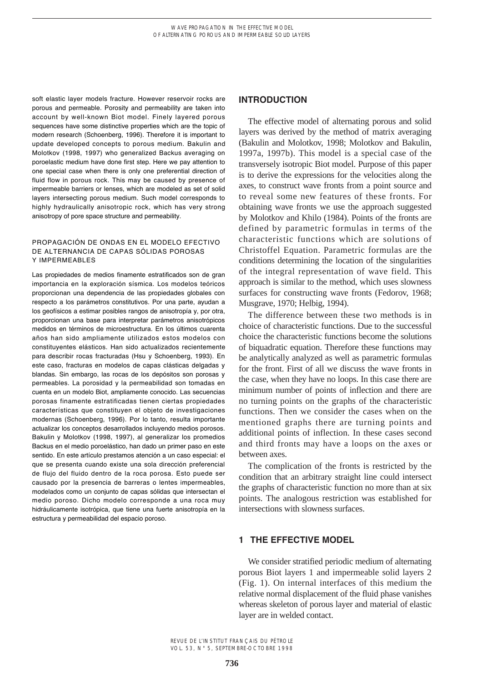soft elastic layer models fracture. However reservoir rocks are porous and permeable. Porosity and permeability are taken into account by well-known Biot model. Finely layered porous sequences have some distinctive properties which are the topic of modern research (Schoenberg, 1996). Therefore it is important to update developed concepts to porous medium. Bakulin and Molotkov (1998, 1997) who generalized Backus averaging on poroelastic medium have done first step. Here we pay attention to one special case when there is only one preferential direction of fluid flow in porous rock. This may be caused by presence of impermeable barriers or lenses, which are modeled as set of solid layers intersecting porous medium. Such model corresponds to highly hydraulically anisotropic rock, which has very strong anisotropy of pore space structure and permeability.

#### PROPAGACIÓN DE ONDAS EN EL MODELO EFECTIVO DE ALTERNANCIA DE CAPAS SÓLIDAS POROSAS Y IMPERMEABLES

Las propiedades de medios finamente estratificados son de gran importancia en la exploración sísmica. Los modelos teóricos proporcionan una dependencia de las propiedades globales con respecto a los parámetros constitutivos. Por una parte, ayudan a los geofísicos a estimar posibles rangos de anisotropía y, por otra, proporcionan una base para interpretar parámetros anisotrópicos medidos en términos de microestructura. En los últimos cuarenta años han sido ampliamente utilizados estos modelos con constituyentes elásticos. Han sido actualizados recientemente para describir rocas fracturadas (Hsu y Schoenberg, 1993). En este caso, fracturas en modelos de capas clásticas delgadas y blandas. Sin embargo, las rocas de los depósitos son porosas y permeables. La porosidad y la permeabilidad son tomadas en cuenta en un modelo Biot, ampliamente conocido. Las secuencias porosas finamente estratificadas tienen ciertas propiedades características que constituyen el objeto de investigaciones modernas (Schoenberg, 1996). Por lo tanto, resulta importante actualizar los conceptos desarrollados incluyendo medios porosos. Bakulin y Molotkov (1998, 1997), al generalizar los promedios Backus en el medio poroelástico, han dado un primer paso en este sentido. En este artículo prestamos atención a un caso especial: el que se presenta cuando existe una sola dirección preferencial de flujo del fluido dentro de la roca porosa. Esto puede ser causado por la presencia de barreras o lentes impermeables, modelados como un conjunto de capas sólidas que intersectan el medio poroso. Dicho modelo corresponde a una roca muy hidráulicamente isotrópica, que tiene una fuerte anisotropía en la estructura y permeabilidad del espacio poroso.

## **INTRODUCTION**

The effective model of alternating porous and solid layers was derived by the method of matrix averaging (Bakulin and Molotkov, 1998; Molotkov and Bakulin, 1997a, 1997b). This model is a special case of the transversely isotropic Biot model. Purpose of this paper is to derive the expressions for the velocities along the axes, to construct wave fronts from a point source and to reveal some new features of these fronts. For obtaining wave fronts we use the approach suggested by Molotkov and Khilo (1984). Points of the fronts are defined by parametric formulas in terms of the characteristic functions which are solutions of Christoffel Equation. Parametric formulas are the conditions determining the location of the singularities of the integral representation of wave field. This approach is similar to the method, which uses slowness surfaces for constructing wave fronts (Fedorov, 1968; Musgrave, 1970; Helbig, 1994).

The difference between these two methods is in choice of characteristic functions. Due to the successful choice the characteristic functions become the solutions of biquadratic equation. Therefore these functions may be analytically analyzed as well as parametric formulas for the front. First of all we discuss the wave fronts in the case, when they have no loops. In this case there are minimum number of points of inflection and there are no turning points on the graphs of the characteristic functions. Then we consider the cases when on the mentioned graphs there are turning points and additional points of inflection. In these cases second and third fronts may have a loops on the axes or between axes.

The complication of the fronts is restricted by the condition that an arbitrary straight line could intersect the graphs of characteristic function no more than at six points. The analogous restriction was established for intersections with slowness surfaces.

# **1 THE EFFECTIVE MODEL**

We consider stratified periodic medium of alternating porous Biot layers 1 and impermeable solid layers 2 (Fig. 1). On internal interfaces of this medium the relative normal displacement of the fluid phase vanishes whereas skeleton of porous layer and material of elastic layer are in welded contact.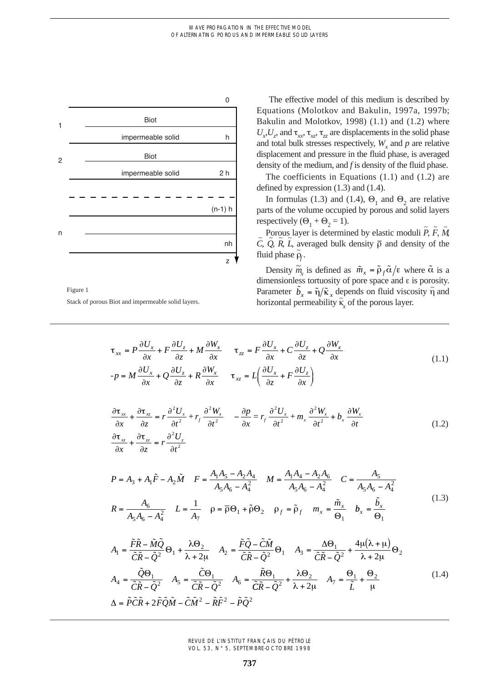

Figure 1 Stack of porous Biot and impermeable solid layers.

The effective model of this medium is described by Equations (Molotkov and Bakulin, 1997a, 1997b; Bakulin and Molotkov, 1998) (1.1) and (1.2) where  $U_x$ ,  $U_z$ , and  $\tau_{xx}$ ,  $\tau_{xz}$ ,  $\tau_{zz}$  are displacements in the solid phase and total bulk stresses respectively,  $W_x$  and  $p$  are relative displacement and pressure in the fluid phase, is averaged density of the medium, and *f* is density of the fluid phase.

The coefficients in Equations (1.1) and (1.2) are defined by expression (1.3) and (1.4).

In formulas (1.3) and (1.4),  $\Theta_1$  and  $\Theta_2$  are relative parts of the volume occupied by porous and solid layers respectively  $(\Theta_1 + \Theta_2 = 1)$ .

Porous layer is determined by elastic moduli  $\tilde{P}$ ,  $\tilde{F}$ ,  $\tilde{M}$  $\tilde{C}$ ,  $\tilde{Q}$ ,  $\tilde{R}$ ,  $\tilde{L}$ , averaged bulk density  $\bar{p}$  and density of the fluid phase  $\tilde{\rho}_f$ .

Density  $\tilde{m}_x$  is defined as  $\tilde{m}_x = \tilde{\rho}_f \tilde{\alpha}/\epsilon$  where  $\tilde{\alpha}$  is a dimensionless tortuosity of pore space and e is porosity. Parameter  $\tilde{b}_x = \tilde{\eta}/\tilde{\kappa}_x$  depends on fluid viscosity  $\tilde{\eta}$  and horizontal permeability  $\vec{k}_x$  of the porous layer.

$$
\tau_{xx} = P \frac{\partial U_x}{\partial x} + F \frac{\partial U_z}{\partial z} + M \frac{\partial W_x}{\partial x} \qquad \tau_{zz} = F \frac{\partial U_x}{\partial x} + C \frac{\partial U_z}{\partial z} + Q \frac{\partial W_x}{\partial x}
$$
\n
$$
-p = M \frac{\partial U_x}{\partial x} + Q \frac{\partial U_z}{\partial z} + R \frac{\partial W_x}{\partial x} \qquad \tau_{xz} = L \left( \frac{\partial U_x}{\partial z} + F \frac{\partial U_z}{\partial x} \right)
$$
\n
$$
\tau_{xx} = \frac{\partial^2 U_x}{\partial x^2} + R \frac{\partial^2 W_x}{\partial x} \qquad \tau_{xz} = L \left( \frac{\partial U_x}{\partial z} + F \frac{\partial U_z}{\partial x} \right)
$$
\n
$$
\tau_{yz} = \frac{\partial^2 U_x}{\partial x^2} + R \frac{\partial^2 W_x}{\partial x} \qquad \tau_{yz} = \frac{\partial^2 U_x}{\partial x^2} + R \frac{\partial^2 W_x}{\partial x^2} \qquad \tau_{zx} = \frac{\partial^2 W_x}{\partial x^2} + R \frac{\partial^2 W_x}{\partial x^2} \qquad \tau_{zx} = \frac{\partial^2 W_x}{\partial x^2} + R \frac{\partial^2 W_x}{\partial x^2} \qquad \tau_{zx} = \frac{\partial^2 W_x}{\partial x^2} + R \frac{\partial^2 W_x}{\partial x^2} \qquad \tau_{zx} = \frac{\partial^2 W_x}{\partial x^2} + R \frac{\partial^2 W_x}{\partial x^2} \qquad \tau_{zx} = \frac{\partial^2 W_x}{\partial x^2} + R \frac{\partial^2 W_x}{\partial x^2} \qquad \tau_{zx} = \frac{\partial^2 W_x}{\partial x^2} + R \frac{\partial^2 W_x}{\partial x^2} \qquad \tau_{zx} = \frac{\partial^2 W_x}{\partial x^2} + R \frac{\partial^2 W_x}{\partial x^2} \qquad \tau_{zx} = \frac{\partial^2 W_x}{\partial x^2} + R \frac{\partial^2 W_x}{\partial x^2} \qquad \tau_{zx} = \frac{\partial^2 W_x}{\partial x^2} + R \frac{\partial^2 W_x}{\partial x^2} \qquad \tau_{zx} = \frac{\partial^2 W_x}{\partial x^2} \qquad \tau_{zx} = \frac{\partial^2 W_x
$$

$$
\frac{\partial \tau_{xx}}{\partial x} + \frac{\partial \tau_{xz}}{\partial z} = r \frac{\partial^2 U_x}{\partial t^2} + r_f \frac{\partial^2 W_x}{\partial t^2} - \frac{\partial p}{\partial x} = r_f \frac{\partial^2 U_x}{\partial t^2} + m_x \frac{\partial^2 W_x}{\partial t^2} + b_x \frac{\partial W_x}{\partial t}
$$
\n(1.2)

$$
P = A_3 + A_1 \tilde{F} - A_2 \tilde{M} \quad F = \frac{A_1 A_5 - A_2 A_4}{A_5 A_6 - A_4^2} \quad M = \frac{A_1 A_4 - A_2 A_6}{A_5 A_6 - A_4^2} \quad C = \frac{A_5}{A_5 A_6 - A_4^2}
$$

$$
R = \frac{A_6}{A_5 A_6 - A_4^2} \quad L = \frac{1}{A_7} \quad \rho = \overline{\rho} \Theta_1 + \tilde{\rho} \Theta_2 \quad \rho_f = \tilde{\rho}_f \quad m_x = \frac{\tilde{m}_x}{\Theta_1} \quad b_x = \frac{\tilde{b}_x}{\Theta_1}
$$
(1.3)

$$
A_1 = \frac{\tilde{F}\tilde{R} - \tilde{M}\tilde{Q}}{\tilde{C}\tilde{R} - \tilde{Q}^2} \Theta_1 + \frac{\lambda \Theta_2}{\lambda + 2\mu} \quad A_2 = \frac{\tilde{F}\tilde{Q} - \tilde{C}\tilde{M}}{\tilde{C}\tilde{R} - \tilde{Q}^2} \Theta_1 \quad A_3 = \frac{\Delta \Theta_1}{\tilde{C}\tilde{R} - \tilde{Q}^2} + \frac{4\mu(\lambda + \mu)}{\lambda + 2\mu} \Theta_2
$$
  
\n
$$
A_4 = \frac{\tilde{Q}\Theta_1}{\tilde{C}\tilde{R} - \tilde{Q}^2} \quad A_5 = \frac{\tilde{C}\Theta_1}{\tilde{C}\tilde{R} - \tilde{Q}^2} \quad A_6 = \frac{\tilde{R}\Theta_1}{\tilde{C}\tilde{R} - \tilde{Q}^2} + \frac{\lambda \Theta_2}{\lambda + 2\mu} \quad A_7 = \frac{\Theta_1}{\tilde{L}} + \frac{\Theta_2}{\mu}
$$
(1.4)  
\n
$$
\Delta = \tilde{P}\tilde{C}\tilde{R} + 2\tilde{F}\tilde{Q}\tilde{M} - \tilde{C}\tilde{M}^2 - \tilde{R}\tilde{F}^2 - \tilde{P}\tilde{Q}^2
$$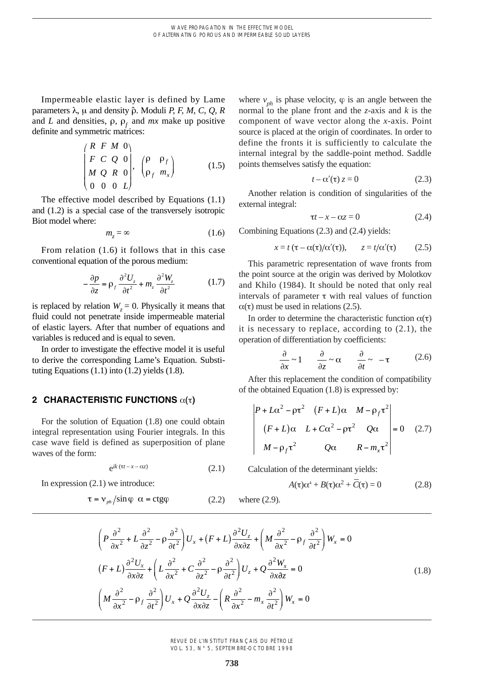Impermeable elastic layer is defined by Lame parameters  $\lambda$ ,  $\mu$  and density  $\hat{\rho}$ . Moduli *P, F, M, C, Q, R* and *L* and densities,  $\rho$ ,  $\rho$  and *mx* make up positive definite and symmetric matrices:

$$
\begin{pmatrix}\nR & F & M & 0 \\
F & C & Q & 0 \\
M & Q & R & 0 \\
0 & 0 & 0 & L\n\end{pmatrix},\n\begin{pmatrix}\n\rho & \rho_f \\
\rho_f & m_x\n\end{pmatrix}
$$
\n(1.5)

The effective model described by Equations (1.1) and (1.2) is a special case of the transversely isotropic Biot model where:

$$
m_z = \infty \tag{1.6}
$$

From relation (1.6) it follows that in this case conventional equation of the porous medium:

$$
-\frac{\partial p}{\partial z} = \rho_f \frac{\partial^2 U_z}{\partial t^2} + m_z \frac{\partial^2 W_z}{\partial t^2}
$$
 (1.7)

is replaced by relation  $W_z = 0$ . Physically it means that fluid could not penetrate inside impermeable material of elastic layers. After that number of equations and variables is reduced and is equal to seven.

In order to investigate the effective model it is useful to derive the corresponding Lame's Equation. Substituting Equations  $(1.1)$  into  $(1.2)$  yields  $(1.8)$ .

### **2 CHARACTERISTIC FUNCTIONS**  $\alpha(\tau)$

For the solution of Equation (1.8) one could obtain integral representation using Fourier integrals. In this case wave field is defined as superposition of plane waves of the form:

$$
e^{ik(\tau t - x - \alpha z)}
$$
 (2.1)

In expression (2.1) we introduce:

$$
\tau = v_{ph} / \sin \varphi \ \alpha = ctg\varphi \tag{2.2}
$$

where  $v_{ph}$  is phase velocity,  $\varphi$  is an angle between the normal to the plane front and the *z*-axis and *k* is the component of wave vector along the *x*-axis. Point source is placed at the origin of coordinates. In order to define the fronts it is sufficiently to calculate the internal integral by the saddle-point method. Saddle points themselves satisfy the equation:

$$
t - \alpha'(\tau) z = 0 \tag{2.3}
$$

Another relation is condition of singularities of the external integral:

$$
\tau t - x - \alpha z = 0 \tag{2.4}
$$

Combining Equations (2.3) and (2.4) yields:

$$
x = t \left( \tau - \alpha(\tau) / \alpha'(\tau) \right), \qquad z = t / \alpha'(\tau) \tag{2.5}
$$

This parametric representation of wave fronts from the point source at the origin was derived by Molotkov and Khilo (1984). It should be noted that only real intervals of parameter  $\tau$  with real values of function  $\alpha(\tau)$  must be used in relations (2.5).

In order to determine the characteristic function  $\alpha(\tau)$ it is necessary to replace, according to (2.1), the operation of differentiation by coefficients:

$$
\frac{\partial}{\partial x} \sim 1 \qquad \frac{\partial}{\partial z} \sim \alpha \qquad \frac{\partial}{\partial t} \sim -\tau \tag{2.6}
$$

After this replacement the condition of compatibility of the obtained Equation (1.8) is expressed by:

$$
\begin{vmatrix} P + L\alpha^2 - \rho \tau^2 & (F + L)\alpha & M - \rho_f \tau^2 \\ (F + L)\alpha & L + C\alpha^2 - \rho \tau^2 & Q\alpha \\ M - \rho_f \tau^2 & Q\alpha & R - m_x \tau^2 \end{vmatrix} = 0 \quad (2.7)
$$

Calculation of the determinant yields:

$$
A(\tau)\alpha^4 + B(\tau)\alpha^2 + \overline{C}(\tau) = 0 \qquad (2.8)
$$

 $ere (2.9).$ 

$$
\left(P\frac{\partial^2}{\partial x^2} + L\frac{\partial^2}{\partial z^2} - \rho \frac{\partial^2}{\partial t^2}\right) U_x + (F+L)\frac{\partial^2 U_z}{\partial x \partial z} + \left(M\frac{\partial^2}{\partial x^2} - \rho_f \frac{\partial^2}{\partial t^2}\right) W_x = 0
$$
\n
$$
(F+L)\frac{\partial^2 U_x}{\partial x \partial z} + \left(L\frac{\partial^2}{\partial x^2} + C\frac{\partial^2}{\partial z^2} - \rho \frac{\partial^2}{\partial t^2}\right) U_z + Q\frac{\partial^2 W_x}{\partial x \partial z} = 0
$$
\n
$$
\left(M\frac{\partial^2}{\partial x^2} - \rho_f \frac{\partial^2}{\partial t^2}\right) U_x + Q\frac{\partial^2 U_z}{\partial x \partial z} - \left(R\frac{\partial^2}{\partial x^2} - m_x \frac{\partial^2}{\partial t^2}\right) W_x = 0
$$
\n(1.8)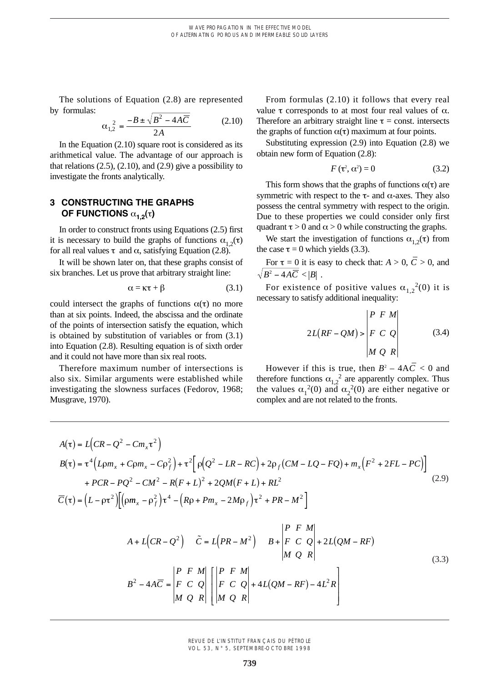The solutions of Equation (2.8) are represented by formulas:

$$
\alpha_{1,2}^2 = \frac{-B \pm \sqrt{B^2 - 4A\overline{C}}}{2A}
$$
 (2.10)

In the Equation (2.10) square root is considered as its arithmetical value. The advantage of our approach is that relations  $(2.5)$ ,  $(2.10)$ , and  $(2.9)$  give a possibility to investigate the fronts analytically.

# **3 CONSTRUCTING THE GRAPHS OF FUNCTIONS**  $\alpha_{1,2}(\tau)$

In order to construct fronts using Equations (2.5) first it is necessary to build the graphs of functions  $\alpha_{1,2}(\tau)$ for all real values  $\tau$  and  $\alpha$ , satisfying Equation (2.8).

It will be shown later on, that these graphs consist of six branches. Let us prove that arbitrary straight line:

$$
\alpha = \kappa \tau + \beta \tag{3.1}
$$

*MQ R*

could intersect the graphs of functions  $\alpha(\tau)$  no more than at six points. Indeed, the abscissa and the ordinate of the points of intersection satisfy the equation, which is obtained by substitution of variables or from (3.1) into Equation (2.8). Resulting equation is of sixth order and it could not have more than six real roots.

Therefore maximum number of intersections is also six. Similar arguments were established while investigating the slowness surfaces (Fedorov, 1968; Musgrave, 1970).

From formulas (2.10) it follows that every real value  $\tau$  corresponds to at most four real values of  $\alpha$ . Therefore an arbitrary straight line  $\tau$  = const. intersects the graphs of function  $\alpha(\tau)$  maximum at four points.

Substituting expression (2.9) into Equation (2.8) we obtain new form of Equation (2.8):

$$
F(\tau^2, \alpha^2) = 0 \tag{3.2}
$$

This form shows that the graphs of functions  $\alpha(\tau)$  are symmetric with respect to the  $\tau$ - and  $\alpha$ -axes. They also possess the central symmetry with respect to the origin. Due to these properties we could consider only first quadrant  $\tau > 0$  and  $\alpha > 0$  while constructing the graphs.

We start the investigation of functions  $\alpha_{1,2}(\tau)$  from the case  $\tau = 0$  which yields (3.3).

For  $\tau = 0$  it is easy to check that:  $A > 0$ ,  $\overline{C} > 0$ , and  $B^2 - 4A\overline{C}$  <  $|B|$  .

For existence of positive values  $\alpha_{1,2}^2(0)$  it is necessary to satisfy additional inequality:

$$
2L(RF - QM) > \begin{vmatrix} P & F & M \\ F & C & Q \\ M & Q & R \end{vmatrix}
$$
 (3.4)

However if this is true, then  $B^2 - 4A\overline{C} < 0$  and therefore functions  $\alpha_{1,2}^2$  are apparently complex. Thus the values  $\alpha_1^2(0)$  and  $\alpha_2^2(0)$  are either negative or complex and are not related to the fronts.

> ú ú

$$
A(\tau) = L\left(CR - Q^{2} - Cm_{x}\tau^{2}\right)
$$
\n
$$
B(\tau) = \tau^{4}\left(L\rho m_{x} + C\rho m_{x} - C\rho_{f}^{2}\right) + \tau^{2}\left[\rho(Q^{2} - LR - RC) + 2\rho_{f}(CM - LQ - FQ) + m_{x}\left(F^{2} + 2FL - PC\right)\right]
$$
\n
$$
+ PCR - PQ^{2} - CM^{2} - R(F + L)^{2} + 2QM(F + L) + RL^{2}
$$
\n
$$
\overline{C}(\tau) = \left(L - \rho\tau^{2}\right)\left[\left(\rho m_{x} - \rho_{f}^{2}\right)\tau^{4} - \left(R\rho + Pm_{x} - 2M\rho_{f}\right)\tau^{2} + PR - M^{2}\right]
$$
\n
$$
A + L\left(CR - Q^{2}\right) \quad \tilde{C} = L\left(PR - M^{2}\right) \quad B + \begin{vmatrix} P & F & M \\ F & C & Q \\ M & Q & R \end{vmatrix} + 2L\left(QM - RF\right)
$$
\n
$$
B^{2} - 4A\overline{C} = \begin{vmatrix} P & F & M \\ F & C & Q \end{vmatrix} \left[\begin{vmatrix} P & F & M \\ F & C & Q \end{vmatrix} + 4L\left(QM - RF\right) - 4L^{2}R\right]
$$
\n(3.3)

REVUE DE L'INSTITUT FRANÇAIS DU PÉTROLE VOL. 53, N° 5, SEPTEMBRE-OCTOBRE 1998

 $\left[\begin{array}{ccc}M & Q & R\end{array}\right]$ 

*MQ R*

ë

ê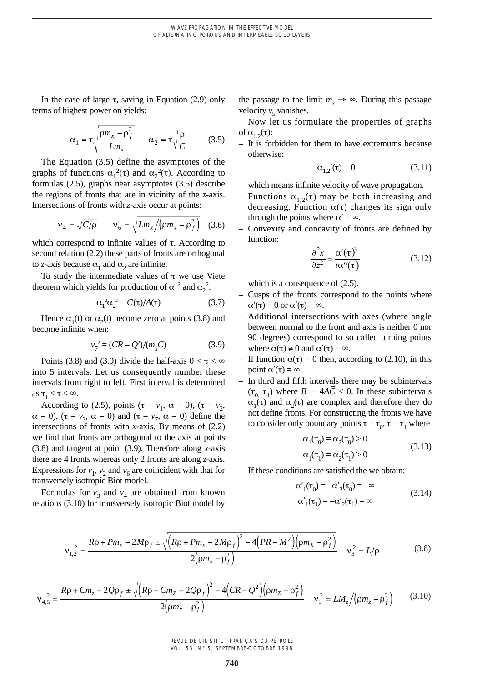In the case of large  $\tau$ , saving in Equation (2.9) only terms of highest power on yields:

$$
\alpha_1 = \tau \sqrt{\frac{\rho m_x - \rho_f^2}{L m_x}} \qquad \alpha_2 = \tau \sqrt{\frac{\rho}{C}} \tag{3.5}
$$

The Equation (3.5) define the asymptotes of the graphs of functions  $\alpha_1^2(\tau)$  and  $\alpha_2^2(\tau)$ . According to formulas (2.5), graphs near asymptotes (3.5) describe the regions of fronts that are in vicinity of the *z*-axis. Intersections of fronts with *z*-axis occur at points:

$$
\mathbf{v}_4 = \sqrt{C/\rho} \qquad \mathbf{v}_6 = \sqrt{L m_x / \left(\rho m_x - \rho_f^2\right)} \quad (3.6)
$$

which correspond to infinite values of  $\tau$ . According to second relation (2.2) these parts of fronts are orthogonal to *z*-axis because  $\alpha_1$  and  $\alpha_2$  are infinite.

To study the intermediate values of  $\tau$  we use Viete theorem which yields for production of  $\alpha_1^2$  and  $\alpha_2^2$ :

$$
\alpha_1^2 \alpha_2^2 = \overline{C}(\tau) / A(\tau) \tag{3.7}
$$

Hence  $\alpha_1(t)$  or  $\alpha_2(t)$  become zero at points (3.8) and become infinite when:

$$
v_7^2 = (CR - Q^2)/(m_x C)
$$
 (3.9)

Points (3.8) and (3.9) divide the half-axis  $0 < \tau < \infty$ into 5 intervals. Let us consequently number these intervals from right to left. First interval is determined as  $\tau_1 < \tau < \infty$ .

According to (2.5), points ( $\tau = v_1$ ,  $\alpha = 0$ ), ( $\tau = v_2$ ,  $\alpha = 0$ ,  $(\tau = v_3, \alpha = 0)$  and  $(\tau = v_7, \alpha = 0)$  define the intersections of fronts with *x*-axis. By means of (2.2) we find that fronts are orthogonal to the axis at points (3.8) and tangent at point (3.9). Therefore along *x*-axis there are 4 fronts whereas only 2 fronts are along *z*-axis. Expressions for  $v_1$ ,  $v_2$  and  $v_6$  are coincident with that for transversely isotropic Biot model.

Formulas for  $v_3$  and  $v_4$  are obtained from known relations (3.10) for transversely isotropic Biot model by the passage to the limit  $m_z \rightarrow \infty$ . During this passage velocity  $v<sub>5</sub>$  vanishes.

Now let us formulate the properties of graphs of  $\alpha_1$ <sub>2</sub>( $\tau$ ):

– It is forbidden for them to have extremums because otherwise:

$$
\alpha_{1,2}(\tau) = 0 \tag{3.11}
$$

which means infinite velocity of wave propagation.

- Functions  $\alpha_{1,2}(\tau)$  may be both increasing and decreasing. Function  $\alpha(\tau)$  changes its sign only through the points where  $\alpha' = \infty$ .
- Convexity and concavity of fronts are defined by function:

$$
\frac{\partial^2 x}{\partial z^2} = \frac{\alpha'(\tau)^3}{t\alpha''(\tau)}
$$
(3.12)

which is a consequence of  $(2.5)$ .

- Cusps of the fronts correspond to the points where  $\alpha'(\tau) = 0$  or  $\alpha'(\tau) = \infty$ .
- Additional intersections with axes (where angle between normal to the front and axis is neither 0 nor 90 degrees) correspond to so called turning points where  $\alpha(\tau) \neq 0$  and  $\alpha'(\tau) = \infty$ .
- If function  $\alpha(\tau) = 0$  then, according to (2.10), in this point  $\alpha'(\tau) = \infty$ .
- In third and fifth intervals there may be subintervals  $(\tau_0, \tau_1)$  where  $B^2 - 4AC < 0$ . In these subintervals  $\alpha_1(\tau)$  and  $\alpha_2(\tau)$  are complex and therefore they do not define fronts. For constructing the fronts we have to consider only boundary points  $\tau = \tau_0$ ,  $\tau = \tau_1$  where

$$
\alpha_1(\tau_0) = \alpha_2(\tau_0) > 0
$$
\n(3.13)

$$
\alpha_1(\tau_1) = \alpha_2(\tau_1) > 0
$$

If these conditions are satisfied the we obtain:

$$
\alpha'_{1}(\tau_{0}) = -\alpha'_{2}(\tau_{0}) = -\infty
$$
  
\n
$$
\alpha'_{1}(\tau_{1}) = -\alpha'_{2}(\tau_{1}) = \infty
$$
\n(3.14)

$$
v_{1,2}^{2} = \frac{R\rho + P m_{x} - 2M\rho_{f} \pm \sqrt{(R\rho + P m_{x} - 2M\rho_{f})^{2} - 4\left(PR - M^{2}\right)\left(\rho m_{x} - \rho_{f}^{2}\right)}}{2\left(\rho m_{x} - \rho_{f}^{2}\right)} \quad v_{3}^{2} = L/\rho
$$
\n(3.8)

$$
v_{4,5}^{2} = \frac{Rp + Cm_{z} - 2Qp_{f} \pm \sqrt{(Rp + Cm_{Z} - 2Qp_{f})^{2} - 4(CR - Q^{2})(pm_{Z} - \rho_{f}^{2})}}{2(pm_{x} - \rho_{f}^{2})} \quad v_{3}^{2} = LM_{z}/(pm_{z} - \rho_{f}^{2}) \tag{3.10}
$$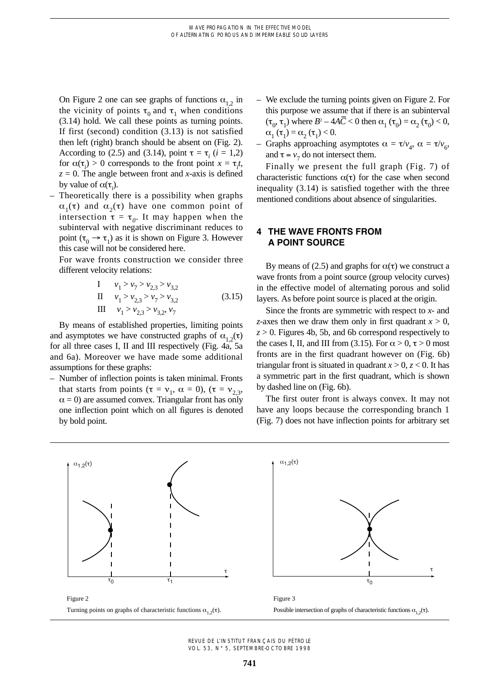On Figure 2 one can see graphs of functions  $\alpha_{1,2}$  in the vicinity of points  $\tau_0$  and  $\tau_1$  when conditions (3.14) hold. We call these points as turning points. If first (second) condition (3.13) is not satisfied then left (right) branch should be absent on (Fig. 2). According to (2.5) and (3.14), point  $\tau = \tau_i$  (*i* = 1,2) for  $\alpha(\tau_i) > 0$  corresponds to the front point  $x = \tau_i t$ ,  $z = 0$ . The angle between front and *x*-axis is defined by value of  $\alpha(\tau_i)$ .

– Theoretically there is a possibility when graphs  $\alpha_1(\tau)$  and  $\alpha_2(\tau)$  have one common point of intersection  $\tau = \tau_0$ . It may happen when the subinterval with negative discriminant reduces to point ( $\tau_0 \rightarrow \tau_1$ ) as it is shown on Figure 3. However this case will not be considered here.

For wave fronts construction we consider three different velocity relations:

I 
$$
v_1 > v_7 > v_{2,3} > v_{3,2}
$$
  
\nII  $v_1 > v_{2,3} > v_7 > v_{3,2}$   
\nIII  $v_1 > v_{2,3} > v_{3,2}, v_7$  (3.15)

By means of established properties, limiting points and asymptotes we have constructed graphs of  $\alpha_{1,2}(\tau)$ for all three cases I, II and III respectively (Fig. 4a, 5a and 6a). Moreover we have made some additional assumptions for these graphs:

– Number of inflection points is taken minimal. Fronts that starts from points ( $\tau = v_1$ ,  $\alpha = 0$ ), ( $\tau = v_2$ <sub>3</sub>,  $\alpha = 0$ ) are assumed convex. Triangular front has only one inflection point which on all figures is denoted by bold point.

- We exclude the turning points given on Figure 2. For this purpose we assume that if there is an subinterval  $(\tau_0, \tau_1)$  where  $B^2 - 4A\overline{C} < 0$  then  $\alpha_1 (\tau_0) = \alpha_2 (\tau_0) < 0$ ,  $\alpha_1(\tau_1) = \alpha_2(\tau_1) < 0.$
- Graphs approaching asymptotes  $\alpha = \tau/v_A$ ,  $\alpha = \tau/v_6$ , and  $\tau = v_7$  do not intersect them.

Finally we present the full graph (Fig. 7) of characteristic functions  $\alpha(\tau)$  for the case when second inequality (3.14) is satisfied together with the three mentioned conditions about absence of singularities.

# **4 THE WAVE FRONTS FROM A POINT SOURCE**

By means of (2.5) and graphs for  $\alpha(\tau)$  we construct a wave fronts from a point source (group velocity curves) in the effective model of alternating porous and solid layers. As before point source is placed at the origin.

Since the fronts are symmetric with respect to *x-* and *z*-axes then we draw them only in first quadrant  $x > 0$ ,  $z > 0$ . Figures 4b, 5b, and 6b correspond respectively to the cases I, II, and III from (3.15). For  $\alpha > 0$ ,  $\tau > 0$  most fronts are in the first quadrant however on (Fig. 6b) triangular front is situated in quadrant  $x > 0$ ,  $z < 0$ . It has a symmetric part in the first quadrant, which is shown by dashed line on (Fig. 6b).

The first outer front is always convex. It may not have any loops because the corresponding branch 1 (Fig. 7) does not have inflection points for arbitrary set

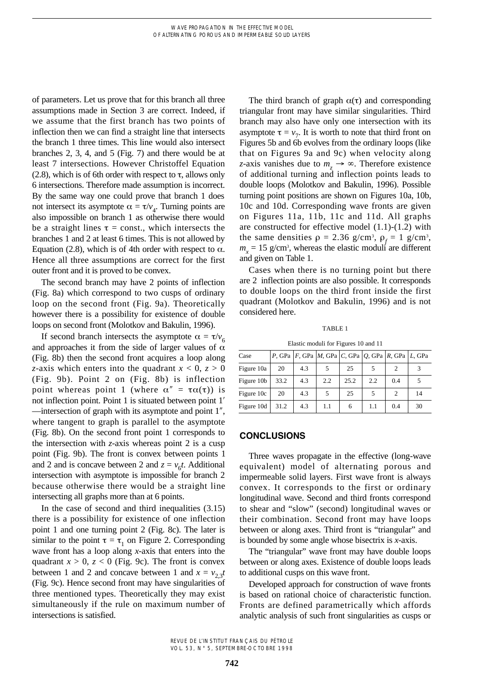of parameters. Let us prove that for this branch all three assumptions made in Section 3 are correct. Indeed, if we assume that the first branch has two points of inflection then we can find a straight line that intersects the branch 1 three times. This line would also intersect branches 2, 3, 4, and 5 (Fig. 7) and there would be at least 7 intersections. However Christoffel Equation  $(2.8)$ , which is of 6th order with respect to  $\tau$ , allows only 6 intersections. Therefore made assumption is incorrect. By the same way one could prove that branch 1 does not intersect its asymptote  $\alpha = \tau/v_4$ . Turning points are also impossible on branch 1 as otherwise there would be a straight lines  $\tau$  = const., which intersects the branches 1 and 2 at least 6 times. This is not allowed by Equation (2.8), which is of 4th order with respect to  $\alpha$ . Hence all three assumptions are correct for the first outer front and it is proved to be convex.

The second branch may have 2 points of inflection (Fig. 8a) which correspond to two cusps of ordinary loop on the second front (Fig. 9a). Theoretically however there is a possibility for existence of double loops on second front (Molotkov and Bakulin, 1996).

If second branch intersects the asymptote  $\alpha = \tau/v_c$ and approaches it from the side of larger values of  $\alpha$ (Fig. 8b) then the second front acquires a loop along *z*-axis which enters into the quadrant  $x < 0$ ,  $z > 0$ (Fig. 9b). Point 2 on (Fig. 8b) is inflection point whereas point 1 (where  $\alpha'' = \tau \alpha(\tau)$ ) is not inflection point. Point 1 is situated between point 1<sup>'</sup> —intersection of graph with its asymptote and point 1², where tangent to graph is parallel to the asymptote (Fig. 8b). On the second front point 1 corresponds to the intersection with *z*-axis whereas point 2 is a cusp point (Fig. 9b). The front is convex between points 1 and 2 and is concave between 2 and  $z = v<sub>6</sub>t$ . Additional intersection with asymptote is impossible for branch 2 because otherwise there would be a straight line intersecting all graphs more than at 6 points.

In the case of second and third inequalities (3.15) there is a possibility for existence of one inflection point 1 and one turning point 2 (Fig. 8c). The later is similar to the point  $\tau = \tau_1$  on Figure 2. Corresponding wave front has a loop along *x*-axis that enters into the quadrant  $x > 0$ ,  $z < 0$  (Fig. 9c). The front is convex between 1 and 2 and concave between 1 and  $x = v_{2,3}t$ (Fig. 9c). Hence second front may have singularities of three mentioned types. Theoretically they may exist simultaneously if the rule on maximum number of intersections is satisfied.

The third branch of graph  $\alpha(\tau)$  and corresponding triangular front may have similar singularities. Third branch may also have only one intersection with its asymptote  $\tau = v_7$ . It is worth to note that third front on Figures 5b and 6b evolves from the ordinary loops (like that on Figures 9a and 9c) when velocity along *z*-axis vanishes due to  $m_a \rightarrow \infty$ . Therefore existence of additional turning and inflection points leads to double loops (Molotkov and Bakulin, 1996). Possible turning point positions are shown on Figures 10a, 10b, 10c and 10d. Corresponding wave fronts are given on Figures 11a, 11b, 11c and 11d. All graphs are constructed for effective model (1.1)-(1.2) with the same densities  $\rho = 2.36$  g/cm<sup>3</sup>,  $\rho_f = 1$  g/cm<sup>3</sup>,  $m_x = 15$  g/cm<sup>3</sup>, whereas the elastic moduli are different and given on Table 1.

Cases when there is no turning point but there are 2 inflection points are also possible. It corresponds to double loops on the third front inside the first quadrant (Molotkov and Bakulin, 1996) and is not considered here.

#### TABLE 1

Elastic moduli for Figures 10 and 11

| Case       |      |     | P, GPa $ F$ , GPa $ M$ , GPa $ C$ , GPa $ Q$ , GPa $ R$ , GPa $ L$ , GPa |      |     |     |    |
|------------|------|-----|--------------------------------------------------------------------------|------|-----|-----|----|
| Figure 10a | 20   | 4.3 | 5                                                                        | 25   |     |     | 3  |
| Figure 10b | 33.2 | 4.3 | 2.2                                                                      | 25.2 | 2.2 | 0.4 | 5  |
| Figure 10c | 20   | 4.3 | 5                                                                        | 25   | 5   | 2   | 14 |
| Figure 10d | 31.2 | 4.3 | 1.1                                                                      | 6    | 1.1 | 0.4 | 30 |

#### **CONCLUSIONS**

Three waves propagate in the effective (long-wave equivalent) model of alternating porous and impermeable solid layers. First wave front is always convex. It corresponds to the first or ordinary longitudinal wave. Second and third fronts correspond to shear and "slow" (second) longitudinal waves or their combination. Second front may have loops between or along axes. Third front is "triangular" and is bounded by some angle whose bisectrix is *x*-axis.

The "triangular" wave front may have double loops between or along axes. Existence of double loops leads to additional cusps on this wave front.

Developed approach for construction of wave fronts is based on rational choice of characteristic function. Fronts are defined parametrically which affords analytic analysis of such front singularities as cusps or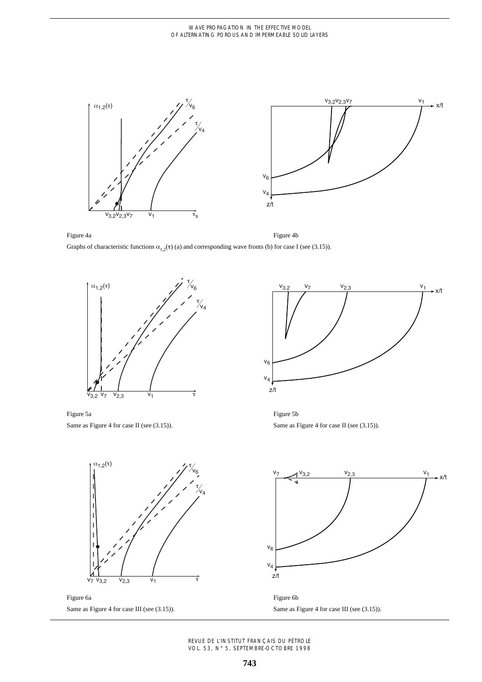

Figure 4a Graphs of characteristic functions  $\alpha_{1,2}(\tau)$  (a) and corresponding wave fronts (b) for case I (see (3.15)). Figure 4b



Figure 5a Same as Figure 4 for case II (see (3.15)).



Figure 5b Same as Figure 4 for case II (see  $(3.15)$ ).

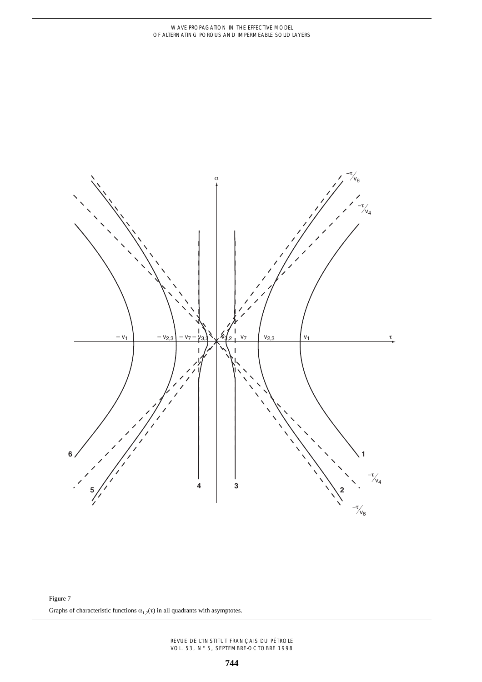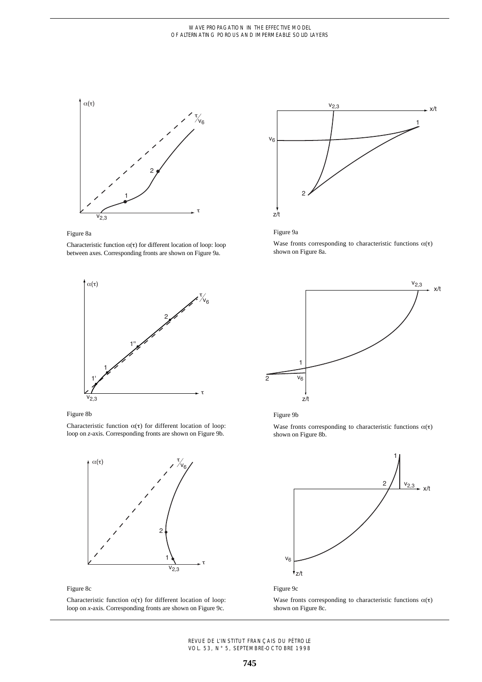



Characteristic function  $\alpha(\tau)$  for different location of loop: loop between axes. Corresponding fronts are shown on Figure 9a.





Wase fronts corresponding to characteristic functions  $\alpha(\tau)$ shown on Figure 8a.





Characteristic function  $\alpha(\tau)$  for different location of loop: loop on *z*-axis. Corresponding fronts are shown on Figure 9b.



Figure 8c

Characteristic function  $\alpha(\tau)$  for different location of loop: loop on *x*-axis. Corresponding fronts are shown on Figure 9c.





Wase fronts corresponding to characteristic functions  $\alpha(\tau)$ shown on Figure 8b.





Wase fronts corresponding to characteristic functions  $\alpha(\tau)$ shown on Figure 8c.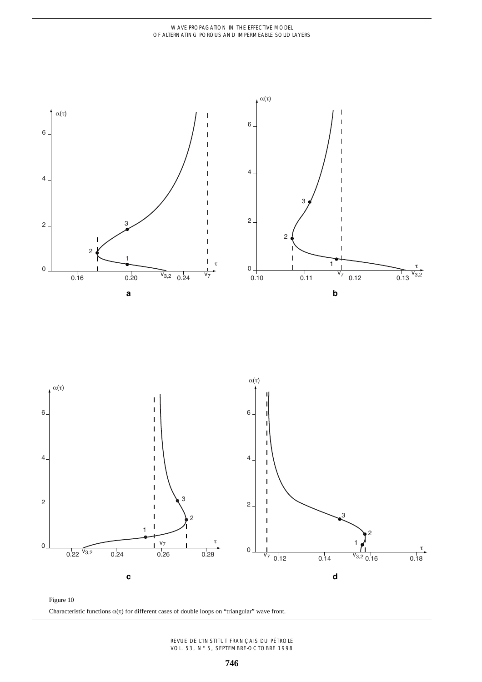

Figure 10 Characteristic functions  $\alpha(\tau)$  for different cases of double loops on "triangular" wave front.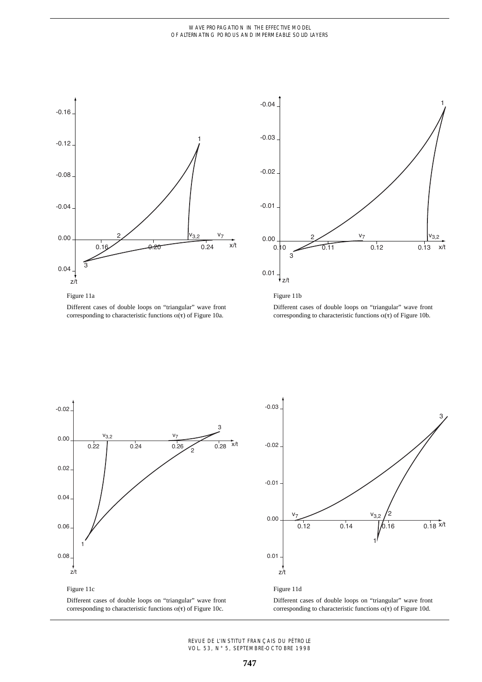#### WAVE PROPAGATION IN THE EFFECTIVE MODEL OF ALTERNATING POROUS AND IMPERMEABLE SOLID LAYERS





#### Figure 11a

Different cases of double loops on "triangular" wave front corresponding to characteristic functions  $\alpha(\tau)$  of Figure 10a.

Figure 11b

Different cases of double loops on "triangular" wave front corresponding to characteristic functions  $\alpha(\tau)$  of Figure 10b.